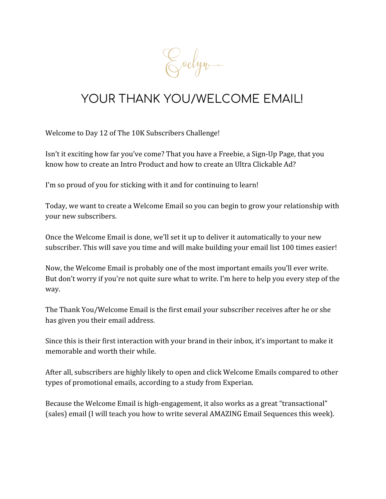Evelyn.

## YOUR THANK YOU/WELCOME EMAIL!

Welcome to Day 12 of The 10K Subscribers Challenge!

Isn't it exciting how far you've come? That you have a Freebie, a Sign-Up Page, that you know how to create an Intro Product and how to create an Ultra Clickable Ad?

I'm so proud of you for sticking with it and for continuing to learn!

Today, we want to create a Welcome Email so you can begin to grow your relationship with your new subscribers.

Once the Welcome Email is done, we'll set it up to deliver it automatically to your new subscriber. This will save you time and will make building your email list 100 times easier!

Now, the Welcome Email is probably one of the most important emails you'll ever write. But don't worry if you're not quite sure what to write. I'm here to help you every step of the way.

The Thank You/Welcome Email is the first email your subscriber receives after he or she has given you their email address.

Since this is their first interaction with your brand in their inbox, it's important to make it memorable and worth their while.

After all, subscribers are highly likely to open and click Welcome Emails compared to other types of promotional emails, according to a study from Experian.

Because the Welcome Email is high-engagement, it also works as a great "transactional" (sales) email (I will teach you how to write several AMAZING Email Sequences this week).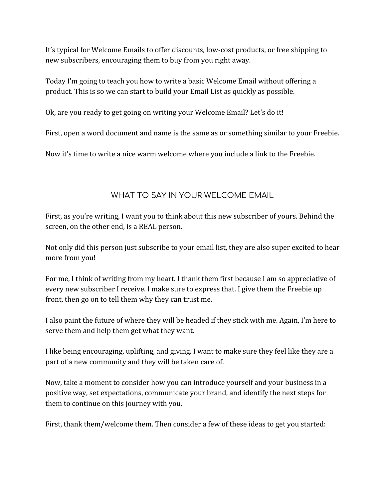It's typical for Welcome Emails to offer discounts, low-cost products, or free shipping to new subscribers, encouraging them to buy from you right away.

Today I'm going to teach you how to write a basic Welcome Email without offering a product. This is so we can start to build your Email List as quickly as possible.

Ok, are you ready to get going on writing your Welcome Email? Let's do it!

First, open a word document and name is the same as or something similar to your Freebie.

Now it's time to write a nice warm welcome where you include a link to the Freebie.

#### WHAT TO SAY IN YOUR WELCOME EMAIL

First, as you're writing, I want you to think about this new subscriber of yours. Behind the screen, on the other end, is a REAL person.

Not only did this person just subscribe to your email list, they are also super excited to hear more from you!

For me, I think of writing from my heart. I thank them first because I am so appreciative of every new subscriber I receive. I make sure to express that. I give them the Freebie up front, then go on to tell them why they can trust me.

I also paint the future of where they will be headed if they stick with me. Again, I'm here to serve them and help them get what they want.

I like being encouraging, uplifting, and giving. I want to make sure they feel like they are a part of a new community and they will be taken care of.

Now, take a moment to consider how you can introduce yourself and your business in a positive way, set expectations, communicate your brand, and identify the next steps for them to continue on this journey with you.

First, thank them/welcome them. Then consider a few of these ideas to get you started: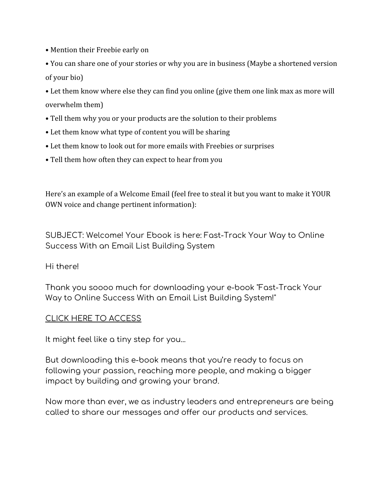- Mention their Freebie early on
- You can share one of your stories or why you are in business (Maybe a shortened version of your bio)
- Let them know where else they can find you online (give them one link max as more will overwhelm them)
- Tell them why you or your products are the solution to their problems
- Let them know what type of content you will be sharing
- Let them know to look out for more emails with Freebies or surprises
- Tell them how often they can expect to hear from you

Here's an example of a Welcome Email (feel free to steal it but you want to make it YOUR OWN voice and change pertinent information):

SUBJECT: Welcome! Your Ebook is here: Fast-Track Your Way to Online Success With an Email List Building System

Hi there!

Thank you soooo much for downloading your e-book "Fast-Track Your Way to Online Success With an Email List Building System!"

#### CLICK HERE TO ACCESS

It might feel like a tiny step for you...

But downloading this e-book means that you're ready to focus on following your passion, reaching more people, and making a bigger impact by building and growing your brand.

Now more than ever, we as industry leaders and entrepreneurs are being called to share our messages and offer our products and services.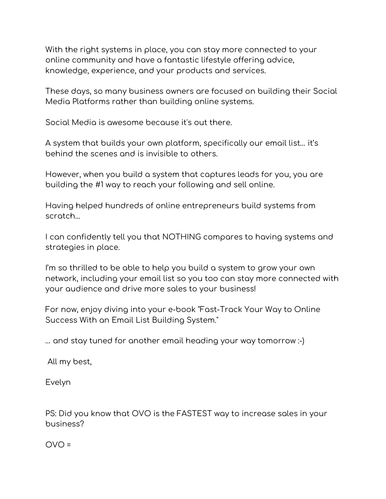With the right systems in place, you can stay more connected to your online community and have a fantastic lifestyle offering advice, knowledge, experience, and your products and services.

These days, so many business owners are focused on building their Social Media Platforms rather than building online systems.

Social Media is awesome because it's out there.

A system that builds your own platform, specifically our email list… it's behind the scenes and is invisible to others.

However, when you build a system that captures leads for you, you are building the #1 way to reach your following and sell online.

Having helped hundreds of online entrepreneurs build systems from scratch...

I can confidently tell you that NOTHING compares to having systems and strategies in place.

I'm so thrilled to be able to help you build a system to grow your own network, including your email list so you too can stay more connected with your audience and drive more sales to your business!

For now, enjoy diving into your e-book "Fast-Track Your Way to Online Success With an Email List Building System."

… and stay tuned for another email heading your way tomorrow :-)

All my best,

Evelyn

PS: Did you know that OVO is the FASTEST way to increase sales in your business?

 $OVO =$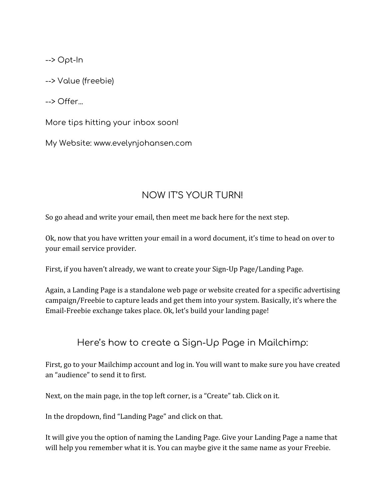--> Opt-In

--> Value (freebie)

--> Offer...

More tips hitting your inbox soon!

My Website: www.evelynjohansen.com

### NOW IT'S YOUR TURN!

So go ahead and write your email, then meet me back here for the next step.

Ok, now that you have written your email in a word document, it's time to head on over to your email service provider.

First, if you haven't already, we want to create your Sign-Up Page/Landing Page.

Again, a Landing Page is a standalone web page or website created for a specific advertising campaign/Freebie to capture leads and get them into your system. Basically, it's where the Email-Freebie exchange takes place. Ok, let's build your landing page!

Here's how to create a Sign-Up Page in Mailchimp:

First, go to your Mailchimp account and log in. You will want to make sure you have created an "audience" to send it to first.

Next, on the main page, in the top left corner, is a "Create" tab. Click on it.

In the dropdown, find "Landing Page" and click on that.

It will give you the option of naming the Landing Page. Give your Landing Page a name that will help you remember what it is. You can maybe give it the same name as your Freebie.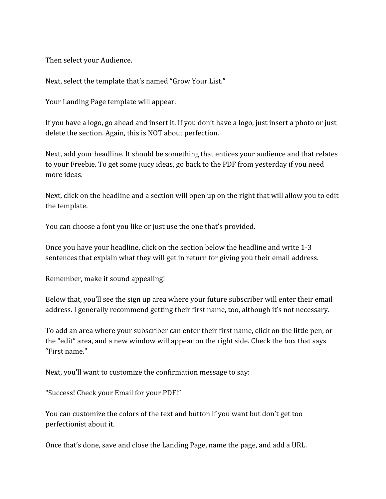Then select your Audience.

Next, select the template that's named "Grow Your List."

Your Landing Page template will appear.

If you have a logo, go ahead and insert it. If you don't have a logo, just insert a photo or just delete the section. Again, this is NOT about perfection.

Next, add your headline. It should be something that entices your audience and that relates to your Freebie. To get some juicy ideas, go back to the PDF from yesterday if you need more ideas.

Next, click on the headline and a section will open up on the right that will allow you to edit the template.

You can choose a font you like or just use the one that's provided.

Once you have your headline, click on the section below the headline and write 1-3 sentences that explain what they will get in return for giving you their email address.

Remember, make it sound appealing!

Below that, you'll see the sign up area where your future subscriber will enter their email address. I generally recommend getting their first name, too, although it's not necessary.

To add an area where your subscriber can enter their first name, click on the little pen, or the "edit" area, and a new window will appear on the right side. Check the box that says "First name."

Next, you'll want to customize the confirmation message to say:

"Success! Check your Email for your PDF!"

You can customize the colors of the text and button if you want but don't get too perfectionist about it.

Once that's done, save and close the Landing Page, name the page, and add a URL.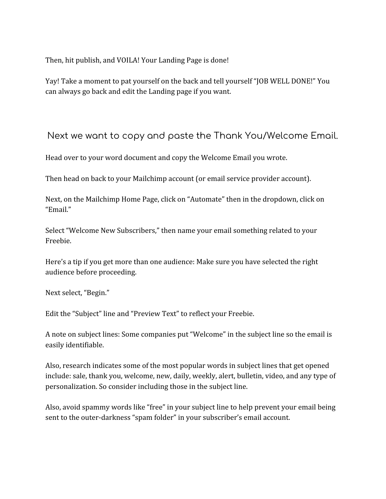Then, hit publish, and VOILA! Your Landing Page is done!

Yay! Take a moment to pat yourself on the back and tell yourself "JOB WELL DONE!" You can always go back and edit the Landing page if you want.

#### Next we want to copy and paste the Thank You/Welcome Email.

Head over to your word document and copy the Welcome Email you wrote.

Then head on back to your Mailchimp account (or email service provider account).

Next, on the Mailchimp Home Page, click on "Automate" then in the dropdown, click on "Email."

Select "Welcome New Subscribers," then name your email something related to your Freebie.

Here's a tip if you get more than one audience: Make sure you have selected the right audience before proceeding.

Next select, "Begin."

Edit the "Subject" line and "Preview Text" to reflect your Freebie.

A note on subject lines: Some companies put "Welcome" in the subject line so the email is easily identifiable.

Also, research indicates some of the most popular words in subject lines that get opened include: sale, thank you, welcome, new, daily, weekly, alert, bulletin, video, and any type of personalization. So consider including those in the subject line.

Also, avoid spammy words like "free" in your subject line to help prevent your email being sent to the outer-darkness "spam folder" in your subscriber's email account.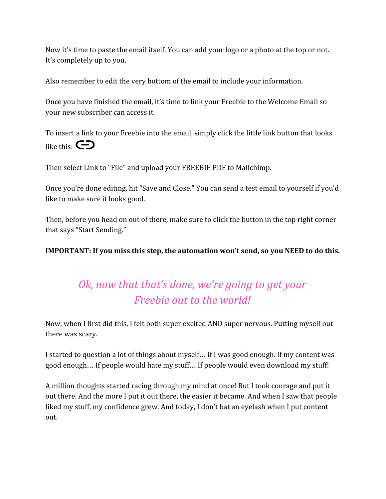Now it's time to paste the email itself. You can add your logo or a photo at the top or not. It's completely up to you.

Also remember to edit the very bottom of the email to include your information.

Once you have finished the email, it's time to link your Freebie to the Welcome Email so your new subscriber can access it.

To insert a link to your Freebie into the email, simply click the little link button that looks like this:  $\bigodot$ 

Then select Link to "File" and upload your FREEBIE PDF to Mailchimp.

Once you're done editing, hit "Save and Close." You can send a test email to yourself if you'd like to make sure it looks good.

Then, before you head on out of there, make sure to click the button in the top right corner that says "Start Sending."

**IMPORTANT: If you miss this step, the automation won't send, so you NEED to do this.**

## *Ok, now that that's done, we're going to get your Freebie out to the world!*

Now, when I first did this, I felt both super excited AND super nervous. Putting myself out there was scary.

I started to question a lot of things about myself… if I was good enough. If my content was good enough… If people would hate my stuff… If people would even download my stuff!

A million thoughts started racing through my mind at once! But I took courage and put it out there. And the more I put it out there, the easier it became. And when I saw that people liked my stuff, my confidence grew. And today, I don't bat an eyelash when I put content out.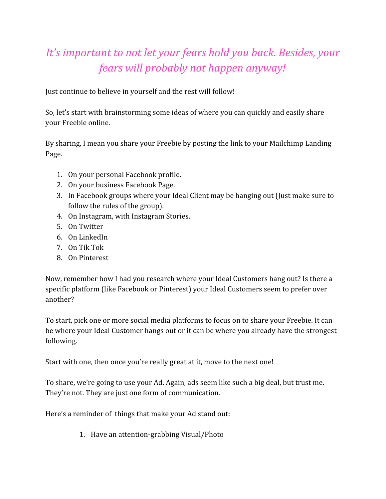# *It's important to not let your fears hold you back. Besides, your fears will probably not happen anyway!*

Just continue to believe in yourself and the rest will follow!

So, let's start with brainstorming some ideas of where you can quickly and easily share your Freebie online.

By sharing, I mean you share your Freebie by posting the link to your Mailchimp Landing Page.

- 1. On your personal Facebook profile.
- 2. On your business Facebook Page.
- 3. In Facebook groups where your Ideal Client may be hanging out (Just make sure to follow the rules of the group).
- 4. On Instagram, with Instagram Stories.
- 5. On Twitter
- 6. On LinkedIn
- 7. On Tik Tok
- 8. On Pinterest

Now, remember how I had you research where your Ideal Customers hang out? Is there a specific platform (like Facebook or Pinterest) your Ideal Customers seem to prefer over another?

To start, pick one or more social media platforms to focus on to share your Freebie. It can be where your Ideal Customer hangs out or it can be where you already have the strongest following.

Start with one, then once you're really great at it, move to the next one!

To share, we're going to use your Ad. Again, ads seem like such a big deal, but trust me. They're not. They are just one form of communication.

Here's a reminder of things that make your Ad stand out:

1. Have an attention-grabbing Visual/Photo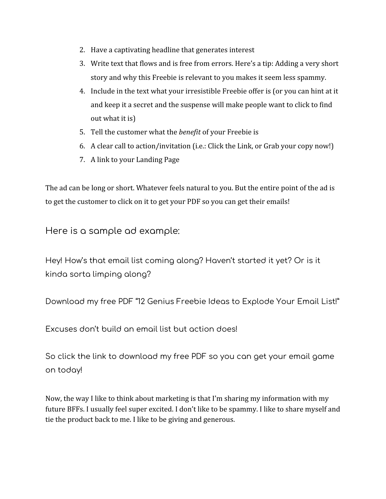- 2. Have a captivating headline that generates interest
- 3. Write text that flows and is free from errors. Here's a tip: Adding a very short story and why this Freebie is relevant to you makes it seem less spammy.
- 4. Include in the text what your irresistible Freebie offer is (or you can hint at it and keep it a secret and the suspense will make people want to click to find out what it is)
- 5. Tell the customer what the *benefit* of your Freebie is
- 6. A clear call to action/invitation (i.e.: Click the Link, or Grab your copy now!)
- 7. A link to your Landing Page

The ad can be long or short. Whatever feels natural to you. But the entire point of the ad is to get the customer to click on it to get your PDF so you can get their emails!

Here is a sample ad example:

Hey! How's that email list coming along? Haven't started it yet? Or is it kinda sorta limping along?

Download my free PDF "12 Genius Freebie Ideas to Explode Your Email List!"

Excuses don't build an email list but action does!

So click the link to download my free PDF so you can get your email game on today!

Now, the way I like to think about marketing is that I'm sharing my information with my future BFFs. I usually feel super excited. I don't like to be spammy. I like to share myself and tie the product back to me. I like to be giving and generous.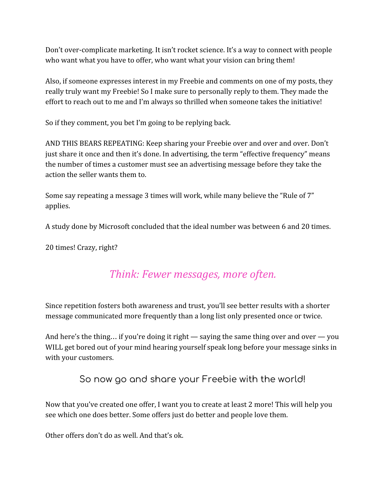Don't over-complicate marketing. It isn't rocket science. It's a way to connect with people who want what you have to offer, who want what your vision can bring them!

Also, if someone expresses interest in my Freebie and comments on one of my posts, they really truly want my Freebie! So I make sure to personally reply to them. They made the effort to reach out to me and I'm always so thrilled when someone takes the initiative!

So if they comment, you bet I'm going to be replying back.

AND THIS BEARS REPEATING: Keep sharing your Freebie over and over and over. Don't just share it once and then it's done. In advertising, the term "effective frequency" means the number of times a customer must see an advertising message before they take the action the seller wants them to.

Some say repeating a message 3 times will work, while many believe the "Rule of 7" applies.

A study done by Microsoft concluded that the ideal number was between 6 and 20 times.

20 times! Crazy, right?

### *Think: Fewer messages, more often.*

Since repetition fosters both awareness and trust, you'll see better results with a shorter message communicated more frequently than a long list only presented once or twice.

And here's the thing... if you're doing it right — saying the same thing over and over — you WILL get bored out of your mind hearing yourself speak long before your message sinks in with your customers.

### So now go and share your Freebie with the world!

Now that you've created one offer, I want you to create at least 2 more! This will help you see which one does better. Some offers just do better and people love them.

Other offers don't do as well. And that's ok.